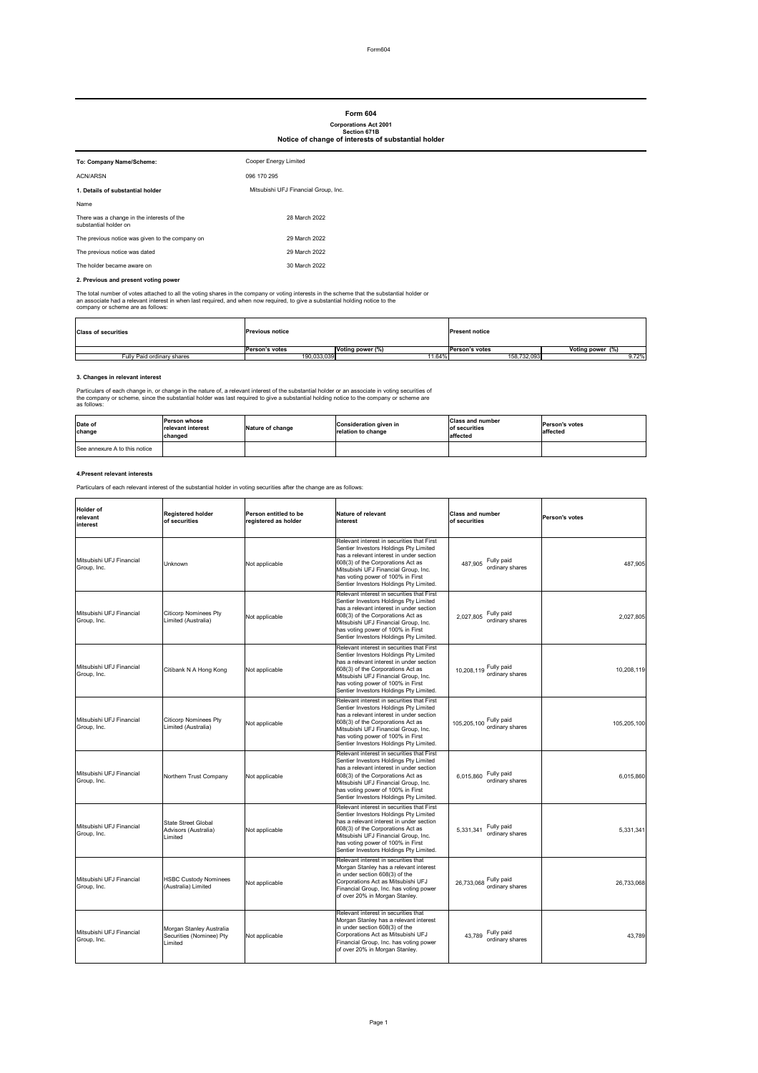Form604

### **2. Previous and present voting power**

The total number of votes attached to all the voting shares in the company or voting interests in the scheme that the substantial holder or an associate had a relevant interest in when last required, and when now required, to give a substantial holding notice to the company or scheme are as follows:

# **3. Changes in relevant interest**

Particulars of each change in, or change in the nature of, a relevant interest of the substantial holder or an associate in voting securities of the company or scheme, since the substantial holder was last required to give a substantial holding notice to the company or scheme are as follows:

### **4.Present relevant interests**

Particulars of each relevant interest of the substantial holder in voting securities after the change are as follows:

| To: Company Name/Scheme:                                            | Cooper Energy Limited                |
|---------------------------------------------------------------------|--------------------------------------|
| <b>ACN/ARSN</b>                                                     | 096 170 295                          |
| 1. Details of substantial holder                                    | Mitsubishi UFJ Financial Group, Inc. |
| Name                                                                |                                      |
| There was a change in the interests of the<br>substantial holder on | 28 March 2022                        |
| The previous notice was given to the company on                     | 29 March 2022                        |
| The previous notice was dated                                       | 29 March 2022                        |
| The holder became aware on                                          | 30 March 2022                        |

| Mitsubishi UFJ Financial<br>Group, Inc. | Unknown                                                         | Not applicable | Relevant interest in securities that First<br>Sentier Investors Holdings Pty Limited<br>has a relevant interest in under section<br>608(3) of the Corporations Act as<br>Mitsubishi UFJ Financial Group, Inc.<br>has voting power of 100% in First<br>Sentier Investors Holdings Pty Limited. | Fully paid<br>487,905<br>ordinary shares   | 487,905     |
|-----------------------------------------|-----------------------------------------------------------------|----------------|-----------------------------------------------------------------------------------------------------------------------------------------------------------------------------------------------------------------------------------------------------------------------------------------------|--------------------------------------------|-------------|
| Mitsubishi UFJ Financial<br>Group, Inc. | <b>Citicorp Nominees Pty</b><br>Limited (Australia)             | Not applicable | Relevant interest in securities that First<br>Sentier Investors Holdings Pty Limited<br>has a relevant interest in under section<br>608(3) of the Corporations Act as<br>Mitsubishi UFJ Financial Group, Inc.<br>has voting power of 100% in First<br>Sentier Investors Holdings Pty Limited. | Fully paid<br>2,027,805<br>ordinary shares | 2,027,805   |
| Mitsubishi UFJ Financial<br>Group, Inc. | Citibank N A Hong Kong                                          | Not applicable | Relevant interest in securities that First<br>Sentier Investors Holdings Pty Limited<br>has a relevant interest in under section<br>608(3) of the Corporations Act as<br>Mitsubishi UFJ Financial Group, Inc.<br>has voting power of 100% in First<br>Sentier Investors Holdings Pty Limited. | 10,208,119 Fully paid<br>ordinary shares   | 10,208,119  |
| Mitsubishi UFJ Financial<br>Group, Inc. | <b>Citicorp Nominees Pty</b><br>Limited (Australia)             | Not applicable | Relevant interest in securities that First<br>Sentier Investors Holdings Pty Limited<br>has a relevant interest in under section<br>608(3) of the Corporations Act as<br>Mitsubishi UFJ Financial Group, Inc.<br>has voting power of 100% in First<br>Sentier Investors Holdings Pty Limited. | 105,205,100 Fully paid<br>ordinary shares  | 105,205,100 |
| Mitsubishi UFJ Financial<br>Group, Inc. | Northern Trust Company                                          | Not applicable | Relevant interest in securities that First<br>Sentier Investors Holdings Pty Limited<br>has a relevant interest in under section<br>608(3) of the Corporations Act as<br>Mitsubishi UFJ Financial Group, Inc.<br>has voting power of 100% in First<br>Sentier Investors Holdings Pty Limited. | Fully paid<br>6,015,860<br>ordinary shares | 6,015,860   |
| Mitsubishi UFJ Financial<br>Group, Inc. | <b>State Street Global</b><br>Advisors (Australia)<br>Limited   | Not applicable | Relevant interest in securities that First<br>Sentier Investors Holdings Pty Limited<br>has a relevant interest in under section<br>608(3) of the Corporations Act as<br>Mitsubishi UFJ Financial Group, Inc.<br>has voting power of 100% in First<br>Sentier Investors Holdings Pty Limited. | Fully paid<br>5,331,341<br>ordinary shares | 5,331,341   |
| Mitsubishi UFJ Financial<br>Group, Inc. | <b>HSBC Custody Nominees</b><br>(Australia) Limited             | Not applicable | Relevant interest in securities that<br>Morgan Stanley has a relevant interest<br>in under section 608(3) of the<br>Corporations Act as Mitsubishi UFJ<br>Financial Group, Inc. has voting power<br>of over 20% in Morgan Stanley.                                                            | 26,733,068 Fully paid<br>ordinary shares   | 26,733,068  |
| Mitsubishi UFJ Financial<br>Group, Inc. | Morgan Stanley Australia<br>Securities (Nominee) Pty<br>Limited | Not applicable | Relevant interest in securities that<br>Morgan Stanley has a relevant interest<br>in under section 608(3) of the<br>Corporations Act as Mitsubishi UFJ<br>Financial Group, Inc. has voting power<br>of over 20% in Morgan Stanley.                                                            | Fully paid<br>43,789<br>ordinary shares    | 43,789      |

| <b>Class of securities</b> | <b>Previous notice</b> |                         | <b>Present notice</b>  |                  |
|----------------------------|------------------------|-------------------------|------------------------|------------------|
|                            | Person's votes         | <b>Voting power (%)</b> | <b>IPerson's votes</b> | Voting power (%) |
| Fully Paid ordinary shares | 190,033,039            | $1.64\%$                | 158,732,093            | 9.72%            |

# **Form 604**

### **Corporations Act 2001 Section 671B Notice of change of interests of substantial holder**

| Date of<br><b>change</b>      | <b>Person whose</b><br><b>Irelevant interest</b><br><b>changed</b> | Nature of change | <b>Consideration given in</b><br>relation to change | <b>Class and number</b><br>of securities<br>affected | <b>Person's votes</b><br>affected |
|-------------------------------|--------------------------------------------------------------------|------------------|-----------------------------------------------------|------------------------------------------------------|-----------------------------------|
| See annexure A to this notice |                                                                    |                  |                                                     |                                                      |                                   |

| <b>Holder</b> of<br><b>relevant</b> | <b>Registered holder</b><br>of securities | <b>Person entitled to be</b> | Nature of relevant | <b>Class and number</b> | <b>IPerson's votes</b> |
|-------------------------------------|-------------------------------------------|------------------------------|--------------------|-------------------------|------------------------|
| <b>linterest</b>                    |                                           | registered as holder         | interest           | of securities           |                        |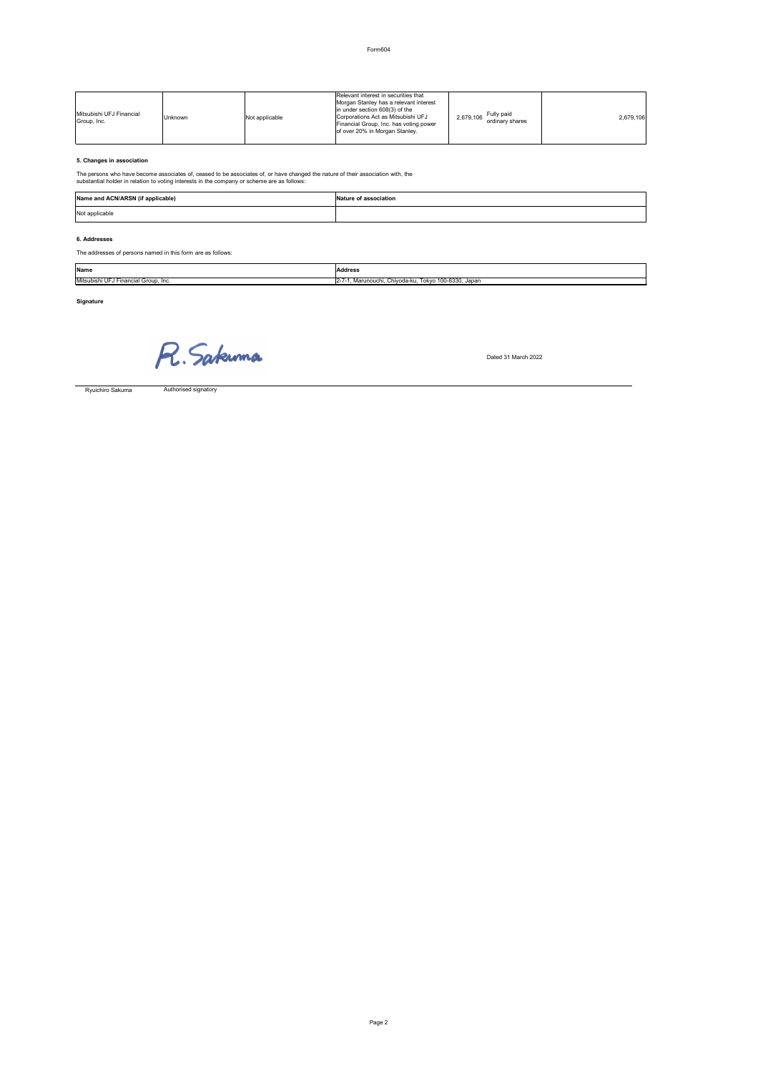Form604

# **5. Changes in association**

The persons who have become associates of, ceased to be associates of, or have changed the nature of their association with, the substantial holder in relation to voting interests in the company or scheme are as follows:

# **6. Addresses**

The addresses of persons named in this form are as follows:

**Signature**

R. Sakuma

Dated 31 March 2022

Authorised signatory

| Mitsubishi UFJ Financial<br>Group, Inc. | <b>Unknown</b> | Not applicable | Relevant interest in securities that<br>Morgan Stanley has a relevant interest<br>in under section $608(3)$ of the<br>Corporations Act as Mitsubishi UFJ<br>Financial Group, Inc. has voting power<br>of over 20% in Morgan Stanley. | Fully paid<br>2,679,106<br>ordinary shares | 2,679,106 |
|-----------------------------------------|----------------|----------------|--------------------------------------------------------------------------------------------------------------------------------------------------------------------------------------------------------------------------------------|--------------------------------------------|-----------|
|-----------------------------------------|----------------|----------------|--------------------------------------------------------------------------------------------------------------------------------------------------------------------------------------------------------------------------------------|--------------------------------------------|-----------|

| Name            | <b>Address</b>                         |
|-----------------|----------------------------------------|
| i UFJ Financial | Tokyo 100-8330, Japan                  |
| Mitsubishi      | , Marunouchi, Chiyoda-ku, <sup>-</sup> |
| Group, Inc.     | $12 - 7$                               |

| Name and ACN/ARSN (if applicable) | Nature of association |
|-----------------------------------|-----------------------|
| Not applicable                    |                       |

Ryuichiro Sakuma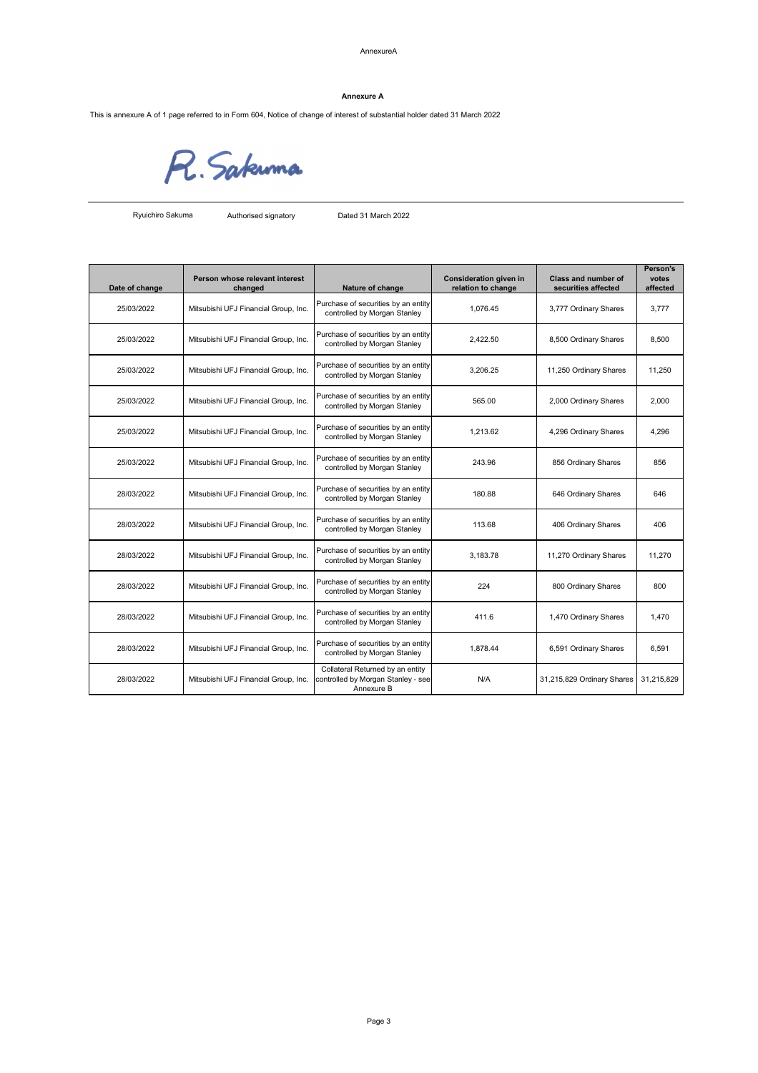### AnnexureA

This is annexure A of 1 page referred to in Form 604, Notice of change of interest of substantial holder dated 31 March 2022

R. Sakuma

Authorised signatory Dated 31 March 2022

| Date of change | Person whose relevant interest<br>changed | Nature of change                                                    | <b>Consideration given in</b><br>relation to change | <b>Class and number of</b><br>securities affected | <b>Person's</b><br>votes<br>affected |
|----------------|-------------------------------------------|---------------------------------------------------------------------|-----------------------------------------------------|---------------------------------------------------|--------------------------------------|
| 25/03/2022     | Mitsubishi UFJ Financial Group, Inc.      | Purchase of securities by an entity<br>controlled by Morgan Stanley | 1,076.45                                            | 3,777 Ordinary Shares                             | 3,777                                |
| 25/03/2022     | Mitsubishi UFJ Financial Group, Inc.      | Purchase of securities by an entity<br>controlled by Morgan Stanley | 2,422.50                                            | 8,500 Ordinary Shares                             | 8,500                                |
| 25/03/2022     | Mitsubishi UFJ Financial Group, Inc.      | Purchase of securities by an entity<br>controlled by Morgan Stanley | 3,206.25                                            | 11,250 Ordinary Shares                            | 11,250                               |
| 25/03/2022     | Mitsubishi UFJ Financial Group, Inc.      | Purchase of securities by an entity<br>controlled by Morgan Stanley | 565.00                                              | 2,000 Ordinary Shares                             | 2,000                                |
| 25/03/2022     | Mitsubishi UFJ Financial Group, Inc.      | Purchase of securities by an entity<br>controlled by Morgan Stanley | 1,213.62                                            | 4,296 Ordinary Shares                             | 4,296                                |
| 25/03/2022     | Mitsubishi UFJ Financial Group, Inc.      | Purchase of securities by an entity<br>controlled by Morgan Stanley | 243.96                                              | 856 Ordinary Shares                               | 856                                  |
| 28/03/2022     | Mitsubishi UFJ Financial Group, Inc.      | Purchase of securities by an entity<br>controlled by Morgan Stanley | 180.88                                              | 646 Ordinary Shares                               | 646                                  |
| 28/03/2022     | Mitsubishi UFJ Financial Group, Inc.      | Purchase of securities by an entity<br>controlled by Morgan Stanley | 113.68                                              | 406 Ordinary Shares                               | 406                                  |
| 28/03/2022     | Mitsubishi UFJ Financial Group, Inc.      | Purchase of securities by an entity<br>controlled by Morgan Stanley | 3,183.78                                            | 11,270 Ordinary Shares                            | 11,270                               |
| 28/03/2022     | Mitsubishi UFJ Financial Group, Inc.      | Purchase of securities by an entity<br>controlled by Morgan Stanley | 224                                                 | 800 Ordinary Shares                               | 800                                  |
| 28/03/2022     | Mitsubishi UFJ Financial Group, Inc.      | Purchase of securities by an entity<br>controlled by Morgan Stanley | 411.6                                               | 1,470 Ordinary Shares                             | 1,470                                |
| 28/03/2022     | Mitsubishi UFJ Financial Group, Inc.      | Purchase of securities by an entity<br>controlled by Morgan Stanley | 1,878.44                                            | 6,591 Ordinary Shares                             | 6,591                                |
|                |                                           | Collateral Returned by an entity                                    |                                                     |                                                   |                                      |

| 28/03/2022 | Mitsubishi<br>' UFJ<br>' Financial Group.<br>lnc. | $\sim$<br>. Stanlev - seel<br><b>Icontrolled by M</b><br>Mordan | N/A | 31.215.829<br>$\sim$<br>$-21.21$<br>Shares<br>⊃rdınar <sup>,</sup> ∵ | 31,215,829 |
|------------|---------------------------------------------------|-----------------------------------------------------------------|-----|----------------------------------------------------------------------|------------|
|            |                                                   | Annexure E                                                      |     |                                                                      |            |

### **Annexure A**

Ryuichiro Sakuma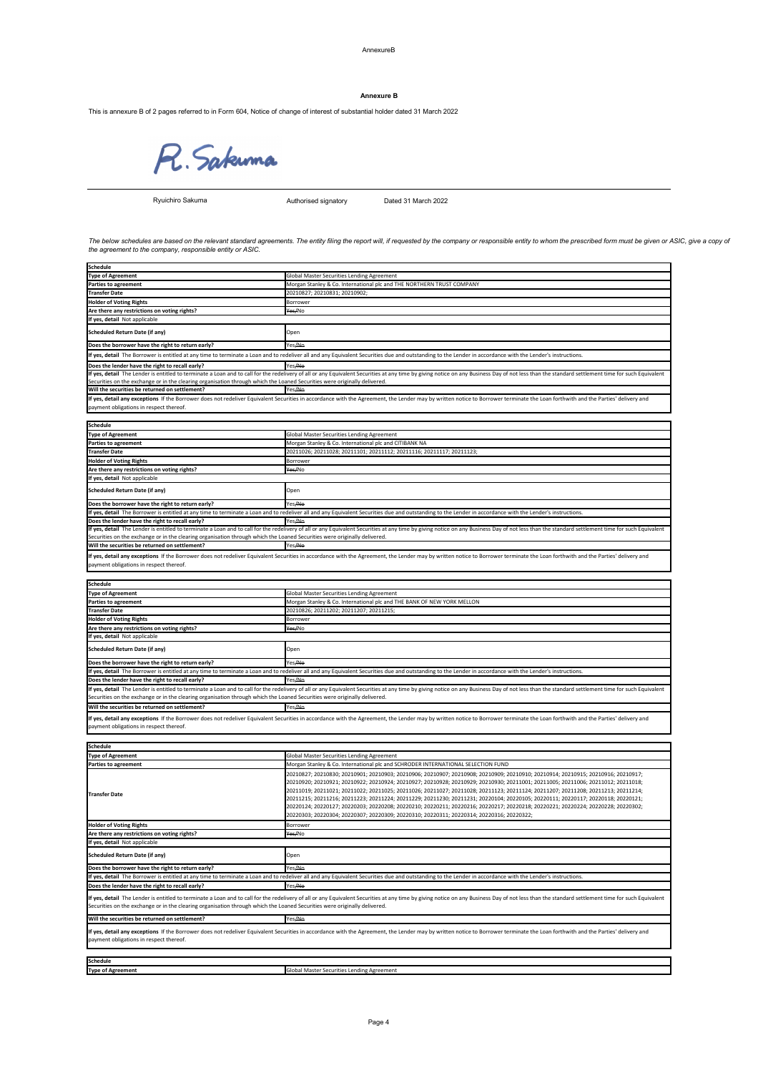### AnnexureB

This is annexure B of 2 pages referred to in Form 604, Notice of change of interest of substantial holder dated 31 March 2022

R. Sakuma

Authorised signatory Dated 31 March 2022

| <b>Schedule</b>                                                                                                           |                                                                                                                                                                                                                                                                                                                                                                                                                                                                                                                                                                                                                                                                                                                                                                                    |
|---------------------------------------------------------------------------------------------------------------------------|------------------------------------------------------------------------------------------------------------------------------------------------------------------------------------------------------------------------------------------------------------------------------------------------------------------------------------------------------------------------------------------------------------------------------------------------------------------------------------------------------------------------------------------------------------------------------------------------------------------------------------------------------------------------------------------------------------------------------------------------------------------------------------|
| <b>Type of Agreement</b>                                                                                                  | Global Master Securities Lending Agreement                                                                                                                                                                                                                                                                                                                                                                                                                                                                                                                                                                                                                                                                                                                                         |
| <b>Parties to agreement</b>                                                                                               | Morgan Stanley & Co. International plc and SCHRODER INTERNATIONAL SELECTION FUND                                                                                                                                                                                                                                                                                                                                                                                                                                                                                                                                                                                                                                                                                                   |
| <b>Transfer Date</b>                                                                                                      | 20210827; 20210830; 20210901; 20210903; 20210906; 20210907; 20210908; 20210909; 20210910; 20210914; 20210915; 20210916; 20210917;<br>20210920; 20210921; 20210922; 20210924; 20210927; 20210928; 20210929; 20210930; 20211001; 20211005; 20211006; 20211012; 20211018;<br>20211019; 20211021; 20211022; 20211025; 20211026; 20211027; 20211028; 20211123; 20211124; 20211207; 20211208; 20211213; 20211214;<br>20211215; 20211216; 20211223; 20211224; 20211229; 20211230; 20211231; 20220104; 20220105; 20220111; 20220117; 20220118; 20220121;<br>20220124; 20220127; 20220203; 20220208; 20220210; 20220211; 20220216; 20220217; 20220218; 20220221; 20220224; 20220228; 20220302;<br>20220303; 20220304; 20220307; 20220309; 20220310; 20220311; 20220314; 20220316; 20220322; |
| <b>Holder of Voting Rights</b>                                                                                            | <b>Borrower</b>                                                                                                                                                                                                                                                                                                                                                                                                                                                                                                                                                                                                                                                                                                                                                                    |
| Are there any restrictions on voting rights?                                                                              | Yes/No                                                                                                                                                                                                                                                                                                                                                                                                                                                                                                                                                                                                                                                                                                                                                                             |
| If yes, detail Not applicable                                                                                             |                                                                                                                                                                                                                                                                                                                                                                                                                                                                                                                                                                                                                                                                                                                                                                                    |
| <b>Scheduled Return Date (if any)</b>                                                                                     | Open                                                                                                                                                                                                                                                                                                                                                                                                                                                                                                                                                                                                                                                                                                                                                                               |
| Does the borrower have the right to return early?                                                                         | Yes <del>/No</del>                                                                                                                                                                                                                                                                                                                                                                                                                                                                                                                                                                                                                                                                                                                                                                 |
|                                                                                                                           | If yes, detail The Borrower is entitled at any time to terminate a Loan and to redeliver all and any Equivalent Securities due and outstanding to the Lender in accordance with the Lender's instructions.                                                                                                                                                                                                                                                                                                                                                                                                                                                                                                                                                                         |
| Does the lender have the right to recall early?                                                                           | Yes/No                                                                                                                                                                                                                                                                                                                                                                                                                                                                                                                                                                                                                                                                                                                                                                             |
| Securities on the exchange or in the clearing organisation through which the Loaned Securities were originally delivered. | If yes, detail The Lender is entitled to terminate a Loan and to call for the redelivery of all or any Equivalent Securities at any time by giving notice on any Business Day of not less than the standard settlement time fo                                                                                                                                                                                                                                                                                                                                                                                                                                                                                                                                                     |
| Will the securities be returned on settlement?                                                                            | Yes <del>/No</del>                                                                                                                                                                                                                                                                                                                                                                                                                                                                                                                                                                                                                                                                                                                                                                 |
| payment obligations in respect thereof.                                                                                   | If yes, detail any exceptions If the Borrower does not redeliver Equivalent Securities in accordance with the Agreement, the Lender may by written notice to Borrower terminate the Loan forthwith and the Parties' delivery a                                                                                                                                                                                                                                                                                                                                                                                                                                                                                                                                                     |

| <b>Schedule</b>          |                                                     |
|--------------------------|-----------------------------------------------------|
| <b>Type of Agreement</b> | יי Securities Lending Agreement<br>bal Master<br>יש |

| <b>Schedule</b>                                                                                                                                                                                                                                                                                                                                             |                                                                        |  |
|-------------------------------------------------------------------------------------------------------------------------------------------------------------------------------------------------------------------------------------------------------------------------------------------------------------------------------------------------------------|------------------------------------------------------------------------|--|
| <b>Type of Agreement</b>                                                                                                                                                                                                                                                                                                                                    | Global Master Securities Lending Agreement                             |  |
| <b>Parties to agreement</b>                                                                                                                                                                                                                                                                                                                                 | Morgan Stanley & Co. International plc and THE BANK OF NEW YORK MELLON |  |
| <b>Transfer Date</b>                                                                                                                                                                                                                                                                                                                                        | 20210826; 20211202; 20211207; 20211215;                                |  |
| <b>Holder of Voting Rights</b>                                                                                                                                                                                                                                                                                                                              | <b>Borrower</b>                                                        |  |
| Are there any restrictions on voting rights?                                                                                                                                                                                                                                                                                                                | <del>Yes/</del> No                                                     |  |
| If yes, detail Not applicable                                                                                                                                                                                                                                                                                                                               |                                                                        |  |
| Scheduled Return Date (if any)                                                                                                                                                                                                                                                                                                                              | Open                                                                   |  |
| Does the borrower have the right to return early?                                                                                                                                                                                                                                                                                                           | Yes <del>/No</del>                                                     |  |
| If yes, detail The Borrower is entitled at any time to terminate a Loan and to redeliver all and any Equivalent Securities due and outstanding to the Lender in accordance with the Lender's instructions.                                                                                                                                                  |                                                                        |  |
| Does the lender have the right to recall early?                                                                                                                                                                                                                                                                                                             | Yes/ <del>No</del>                                                     |  |
| If yes, detail The Lender is entitled to terminate a Loan and to call for the redelivery of all or any Equivalent Securities at any time by giving notice on any Business Day of not less than the standard settlement time fo<br>Securities on the exchange or in the clearing organisation through which the Loaned Securities were originally delivered. |                                                                        |  |
| Will the securities be returned on settlement?                                                                                                                                                                                                                                                                                                              | Yes <del>/No</del>                                                     |  |
| If yes, detail any exceptions If the Borrower does not redeliver Equivalent Securities in accordance with the Agreement, the Lender may by written notice to Borrower terminate the Loan forthwith and the Parties' delivery a                                                                                                                              |                                                                        |  |

The below schedules are based on the relevant standard agreements. The entity filing the report will, if requested by the company or responsible entity to whom the prescribed form must be given or ASIC, give a copy of *the agreement to the company, responsible entity or ASIC.*

| <b>Schedule</b>                                                                                                           |                                                                                                                                                                                                                                |
|---------------------------------------------------------------------------------------------------------------------------|--------------------------------------------------------------------------------------------------------------------------------------------------------------------------------------------------------------------------------|
| <b>Type of Agreement</b>                                                                                                  | Global Master Securities Lending Agreement                                                                                                                                                                                     |
| <b>Parties to agreement</b>                                                                                               | Morgan Stanley & Co. International plc and THE NORTHERN TRUST COMPANY                                                                                                                                                          |
| <b>Transfer Date</b>                                                                                                      | 20210827; 20210831; 20210902;                                                                                                                                                                                                  |
| <b>Holder of Voting Rights</b>                                                                                            | Borrower                                                                                                                                                                                                                       |
| Are there any restrictions on voting rights?                                                                              | Yes/No                                                                                                                                                                                                                         |
| If yes, detail Not applicable                                                                                             |                                                                                                                                                                                                                                |
| <b>Scheduled Return Date (if any)</b>                                                                                     | Open                                                                                                                                                                                                                           |
| Does the borrower have the right to return early?                                                                         | Yes <del>/No</del>                                                                                                                                                                                                             |
|                                                                                                                           | If yes, detail The Borrower is entitled at any time to terminate a Loan and to redeliver all and any Equivalent Securities due and outstanding to the Lender in accordance with the Lender's instructions.                     |
| Does the lender have the right to recall early?                                                                           | Yes/No                                                                                                                                                                                                                         |
|                                                                                                                           | If yes, detail The Lender is entitled to terminate a Loan and to call for the redelivery of all or any Equivalent Securities at any time by giving notice on any Business Day of not less than the standard settlement time fo |
| Securities on the exchange or in the clearing organisation through which the Loaned Securities were originally delivered. |                                                                                                                                                                                                                                |
| Will the securities be returned on settlement?                                                                            | Yes <del>/No</del>                                                                                                                                                                                                             |
| payment obligations in respect thereof.                                                                                   | If yes, detail any exceptions If the Borrower does not redeliver Equivalent Securities in accordance with the Agreement, the Lender may by written notice to Borrower terminate the Loan forthwith and the Parties' delivery a |

| <b>Schedule</b>                                                                                                                                                                                                                |                                                                       |  |
|--------------------------------------------------------------------------------------------------------------------------------------------------------------------------------------------------------------------------------|-----------------------------------------------------------------------|--|
| Type of Agreement                                                                                                                                                                                                              | <b>Global Master Securities Lending Agreement</b>                     |  |
| <b>Parties to agreement</b>                                                                                                                                                                                                    | Morgan Stanley & Co. International plc and CITIBANK NA                |  |
| <b>Transfer Date</b>                                                                                                                                                                                                           | 20211026; 20211028; 20211101; 20211112; 20211116; 20211117; 20211123; |  |
| <b>Holder of Voting Rights</b>                                                                                                                                                                                                 | <b>Borrower</b>                                                       |  |
| Are there any restrictions on voting rights?                                                                                                                                                                                   | Yes/No                                                                |  |
| If yes, detail Not applicable                                                                                                                                                                                                  |                                                                       |  |
| Scheduled Return Date (if any)                                                                                                                                                                                                 | Open                                                                  |  |
| Does the borrower have the right to return early?                                                                                                                                                                              | Yes ANo                                                               |  |
| If yes, detail The Borrower is entitled at any time to terminate a Loan and to redeliver all and any Equivalent Securities due and outstanding to the Lender in accordance with the Lender's instructions.                     |                                                                       |  |
| Does the lender have the right to recall early?                                                                                                                                                                                | Yes <del>/No</del>                                                    |  |
| If yes, detail The Lender is entitled to terminate a Loan and to call for the redelivery of all or any Equivalent Securities at any time by giving notice on any Business Day of not less than the standard settlement time fo |                                                                       |  |
| Securities on the exchange or in the clearing organisation through which the Loaned Securities were originally delivered.                                                                                                      |                                                                       |  |
| Will the securities be returned on settlement?                                                                                                                                                                                 | Yes <del>/No</del>                                                    |  |
| If yes, detail any exceptions If the Borrower does not redeliver Equivalent Securities in accordance with the Agreement, the Lender may by written notice to Borrower terminate the Loan forthwith and the Parties' delivery a |                                                                       |  |

payment obligations in respect thereof.

payment obligations in respect thereof.

### **Annexure B**

Ryuichiro Sakuma